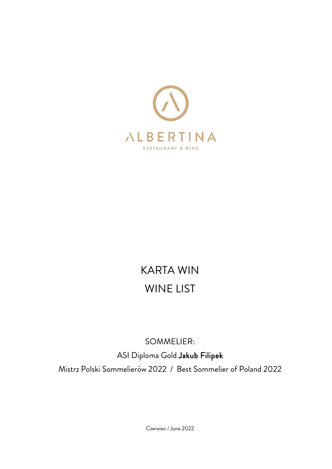

# KARTA WIN WINE LIST

## SOMMELIER:

ASI Diploma Gold Jakub Filipek

Mistrz Polski Sommelierów 2022 / Best Sommelier of Poland 2022

Czerwiec / June 2022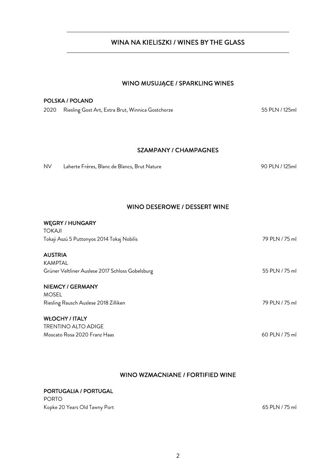2

## WINA NA KIELISZKI / WINES BY THE GLASS

#### WINO MUSUJA**̨**CE / SPARKLING WINES

#### POLSKA / POLAND

2020 Riesling Gost Art, Extra Brut, Winnica Gostchorze 55 PLM / 125ml

#### SZAMPANY / CHAMPAGNES

NV Laherte Frères, Blanc de Blancs, Brut Nature 90 PLN / 125ml

#### WINO DESEROWE / DESSERT WINE

#### WĘGRY / HUNGARY

TOKAJI Tokaji Aszú 5 Puttonyos 2014 Tokaj Nobilis 79 PLN / 75 ml AUSTRIA KAMPTAL Grüner Veltliner Auslese 2017 Schloss Gobelsburg 55 PLN / 75 ml NIEMCY / GERMANY MOSEL Riesling Rausch Auslese 2018 Zilliken and The State of The State of The Taussian 79 PLN / 75 ml WŁOCHY / ITALY TRENTINO ALTO ADIGE

Moscato Rosa 2020 Franz Haas 60 PLN / 75 ml

### WINO WZMACNIANE / FORTIFIED WINE

## PORTUGALIA / PORTUGAL

PORTO Kopke 20 Years Old Tawny Port 65 PLN / 75 ml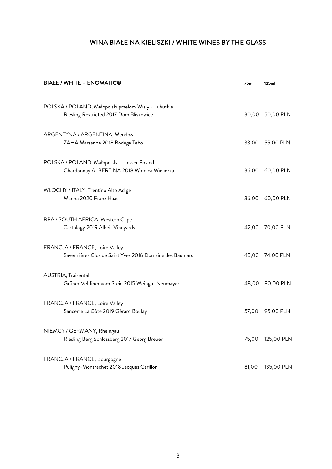## WINA BIAŁE NA KIELISZKI / WHITE WINES BY THE GLASS

| <b>BIAŁE / WHITE – ENOMATIC®</b>                                                                | 75ml  | 125ml           |
|-------------------------------------------------------------------------------------------------|-------|-----------------|
| POLSKA / POLAND, Małopolski przełom Wisły - Lubuskie<br>Riesling Restricted 2017 Dom Bliskowice |       | 30,00 50,00 PLN |
| ARGENTYNA / ARGENTINA, Mendoza<br>ZAHA Marsanne 2018 Bodega Teho                                | 33,00 | 55,00 PLN       |
| POLSKA / POLAND, Małopolska - Lesser Poland<br>Chardonnay ALBERTINA 2018 Winnica Wieliczka      | 36,00 | 60,00 PLN       |
| WŁOCHY / ITALY, Trentino Alto Adige<br>Manna 2020 Franz Haas                                    | 36,00 | 60,00 PLN       |
| RPA / SOUTH AFRICA, Western Cape<br>Cartology 2019 Alheit Vineyards                             | 42,00 | 70,00 PLN       |
| FRANCJA / FRANCE, Loire Valley<br>Savennières Clos de Saint Yves 2016 Domaine des Baumard       | 45,00 | 74,00 PLN       |
| AUSTRIA, Traisental<br>Grüner Veltliner vom Stein 2015 Weingut Neumayer                         | 48,00 | 80,00 PLN       |
| FRANCJA / FRANCE, Loire Valley<br>Sancerre La Côte 2019 Gérard Boulay                           | 57,00 | 95,00 PLN       |
| NIEMCY / GERMANY, Rheingau<br>Riesling Berg Schlossberg 2017 Georg Breuer                       | 75,00 | 125,00 PLN      |
| FRANCJA / FRANCE, Bourgogne<br>Puligny-Montrachet 2018 Jacques Carillon                         | 81,00 | 135,00 PLN      |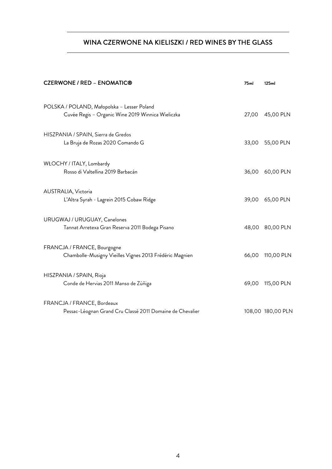## WINA CZERWONE NA KIELISZKI / RED WINES BY THE GLASS

| <b>CZERWONE / RED - ENOMATIC®</b>                                                                | 75ml  | 125ml             |
|--------------------------------------------------------------------------------------------------|-------|-------------------|
| POLSKA / POLAND, Małopolska - Lesser Poland<br>Cuvée Regis - Organic Wine 2019 Winnica Wieliczka | 27,00 | 45,00 PLN         |
| HISZPANIA / SPAIN, Sierra de Gredos<br>La Bruja de Rozas 2020 Comando G                          | 33,00 | 55,00 PLN         |
| WŁOCHY / ITALY, Lombardy<br>Rosso di Valtellina 2019 Barbacán                                    | 36,00 | 60,00 PLN         |
| AUSTRALIA, Victoria<br>L'Altra Syrah - Lagrein 2015 Cobaw Ridge                                  | 39,00 | 65,00 PLN         |
| URUGWAJ / URUGUAY, Canelones<br>Tannat Arretexa Gran Reserva 2011 Bodega Pisano                  |       | 48,00 80,00 PLN   |
| FRANCJA / FRANCE, Bourgogne<br>Chambolle-Musigny Vieilles Vignes 2013 Frédéric Magnien           | 66,00 | 110,00 PLN        |
| HISZPANIA / SPAIN, Rioja<br>Conde de Hervias 2011 Manso de Zúñiga                                | 69,00 | 115,00 PLN        |
| FRANCJA / FRANCE, Bordeaux<br>Pessac-Léognan Grand Cru Classé 2011 Domaine de Chevalier          |       | 108,00 180,00 PLN |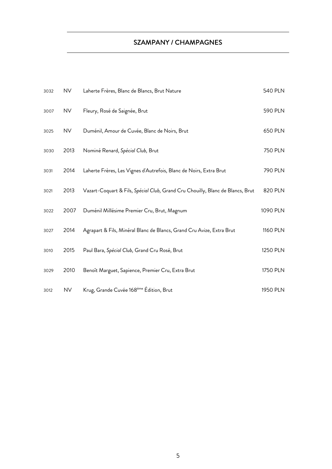## SZAMPANY / CHAMPAGNES

| 3032 | <b>NV</b> | Laherte Frères, Blanc de Blancs, Brut Nature                                   | <b>540 PLN</b> |
|------|-----------|--------------------------------------------------------------------------------|----------------|
| 3007 | <b>NV</b> | Fleury, Rosé de Saignée, Brut                                                  | 590 PLN        |
| 3025 | <b>NV</b> | Duménil, Amour de Cuvée, Blanc de Noirs, Brut                                  | 650 PLN        |
| 3030 | 2013      | Nominé Renard, Spécial Club, Brut                                              | <b>750 PLN</b> |
| 3031 | 2014      | Laherte Frères, Les Vignes d'Autrefois, Blanc de Noirs, Extra Brut             | 790 PLN        |
| 3021 | 2013      | Vazart-Coquart & Fils, Spécial Club, Grand Cru Chouilly, Blanc de Blancs, Brut | 820 PLN        |
| 3022 | 2007      | Duménil Millésime Premier Cru, Brut, Magnum                                    | 1090 PLN       |
| 3027 | 2014      | Agrapart & Fils, Minéral Blanc de Blancs, Grand Cru Avize, Extra Brut          | 1160 PLN       |
| 3010 | 2015      | Paul Bara, Spécial Club, Grand Cru Rosé, Brut                                  | 1250 PLN       |
| 3029 | 2010      | Benoît Marguet, Sapience, Premier Cru, Extra Brut                              | 1750 PLN       |
| 3012 | <b>NV</b> | Krug, Grande Cuvée 168 <sup>ème</sup> Édition, Brut                            | 1950 PLN       |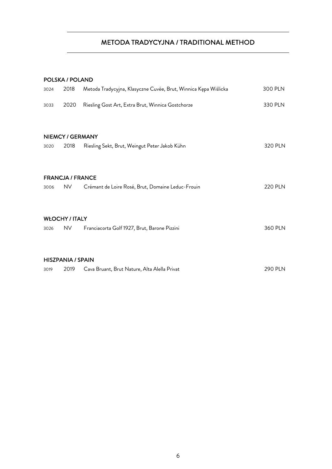## METODA TRADYCYJNA / TRADITIONAL METHOD

#### POLSKA / POLAND

| 3024 | 2018                                 | Metoda Tradycyjna, Klasyczne Cuvée, Brut, Winnica Kępa Wiślicka | 300 PLN        |
|------|--------------------------------------|-----------------------------------------------------------------|----------------|
| 3033 | 2020                                 | Riesling Gost Art, Extra Brut, Winnica Gostchorze               | 330 PLN        |
| 3020 | <b>NIEMCY / GERMANY</b><br>2018      | Riesling Sekt, Brut, Weingut Peter Jakob Kühn                   | 320 PLN        |
| 3006 | <b>FRANCJA / FRANCE</b><br><b>NV</b> | Crémant de Loire Rosé, Brut, Domaine Leduc-Frouin               | <b>220 PLN</b> |
| 3026 | <b>WŁOCHY / ITALY</b><br><b>NV</b>   | Franciacorta Golf 1927, Brut, Barone Pizzini                    | 360 PLN        |
| 3019 | <b>HISZPANIA / SPAIN</b><br>2019     | Cava Bruant, Brut Nature, Alta Alella Privat                    | <b>290 PLN</b> |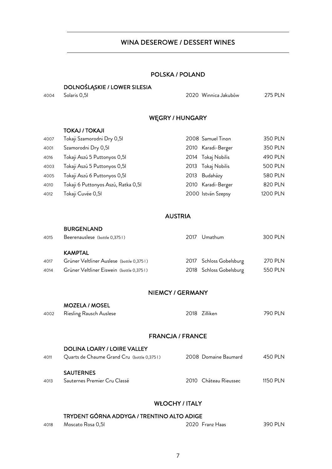#### WINA DESEROWE / DESSERT WINES

#### POLSKA / POLAND

#### DOLNOŚLĄSKIE / LOWER SILESIA

4004 Solaris 0,5l 2020 Winnica Jakubów 275 PLN

#### WĘGRY / HUNGARY

| <b>TOKAJ / TOKAJI</b> |
|-----------------------|
|                       |

| 4007 | Tokaji Szamorodni Dry 0,51          | 2008 Samuel Tinon  | 350 PLN        |
|------|-------------------------------------|--------------------|----------------|
| 4001 | Szamorodni Dry 0,51                 | 2010 Karadi-Berger | 350 PLN        |
| 4016 | Tokaji Aszú 5 Puttonyos 0,51        | 2014 Tokaj Nobilis | 490 PLN        |
| 4003 | Tokaji Aszú 5 Puttonyos 0,51        | 2013 Tokaj Nobilis | <b>500 PLN</b> |
| 4005 | Tokaji Aszú 6 Puttonyos 0,51        | 2013 Budaházy      | 580 PLN        |
| 4010 | Tokaji 6 Puttonyos Aszú, Ratka 0,51 | 2010 Karadi-Berger | 820 PLN        |
| 4012 | Tokaji Cuvée 0,51                   | 2000 István Szepsy | 1200 PLN       |

#### AUSTRIA

|      | <b>BURGENLAND</b>                        |      |                         |                |
|------|------------------------------------------|------|-------------------------|----------------|
| 4015 | Beerenauslese (bottle 0,3751)            | 2017 | Umathum                 | 300 PLN        |
|      |                                          |      |                         |                |
|      | <b>KAMPTAL</b>                           |      |                         |                |
| 4017 | Grüner Veltliner Auslese (bottle 0,3751) |      | 2017 Schloss Gobelsburg | <b>270 PLN</b> |
| 4014 | Grüner Veltliner Eiswein (bottle 0,3751) |      | 2018 Schloss Gobelsburg | 550 PLN        |

#### NIEMCY / GERMANY

|      | <b>MOZELA / MOSEL</b>   |               |         |
|------|-------------------------|---------------|---------|
| 4002 | Riesling Rausch Auslese | 2018 Zilliken | 790 PLN |
|      |                         |               |         |

#### FRANCJA / FRANCE

| 4011 | <b>DOLINA LOARY / LOIRE VALLEY</b><br>Quarts de Chaume Grand Cru (bottle 0,3751) | 2008 Domaine Baumard  | 450 PI N  |
|------|----------------------------------------------------------------------------------|-----------------------|-----------|
| 4013 | <b>SAUTERNES</b><br>Sauternes Premier Cru Classé                                 | 2010 Château Rieussec | 1150 PI N |

#### WŁOCHY / ITALY

## TRYDENT GÓRNA ADDYGA / TRENTINO ALTO ADIGE

| 4018 | Moscato Rosa 0.51 | 2020 Franz Haas | 390 PLN |
|------|-------------------|-----------------|---------|
|      |                   |                 |         |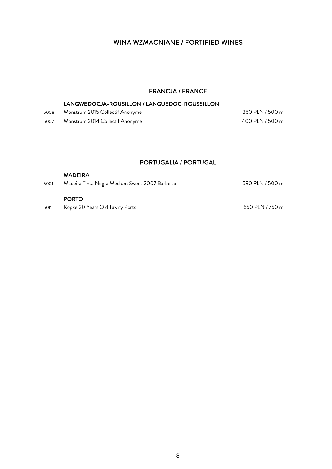## WINA WZMACNIANE / FORTIFIED WINES

#### FRANCJA / FRANCE

#### LANGWEDOCJA-ROUSILLON / LANGUEDOC-ROUSSILLON

| 5008 | Monstrum 2015 Collectif Anonyme | 360 PLN / 500 ml |
|------|---------------------------------|------------------|
| 5007 | Monstrum 2014 Collectif Anonyme | 400 PLN / 500 ml |

#### PORTUGALIA / PORTUGAL

|      | <b>MADEIRA</b>                                 |                  |
|------|------------------------------------------------|------------------|
| 5001 | Madeira Tinta Negra Medium Sweet 2007 Barbeito | 590 PLN / 500 ml |
|      |                                                |                  |
|      | <b>PORTO</b>                                   |                  |
| 5011 | Kopke 20 Years Old Tawny Porto                 | 650 PLN / 750 ml |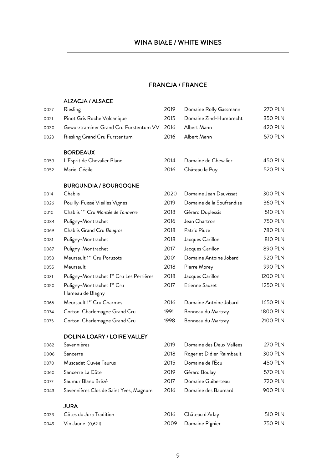## WINA BIAŁE / WHITE WINES

#### FRANCJA / FRANCE

#### ALZACJA / ALSACE

| 0027 | Riesling                                       | 2019 | Domaine Rolly Gassmann    | <b>270 PLN</b> |
|------|------------------------------------------------|------|---------------------------|----------------|
| 0021 | Pinot Gris Roche Volcanique                    | 2015 | Domaine Zind-Humbrecht    | 350 PLN        |
| 0030 | Gewurztraminer Grand Cru Furstentum VV         | 2016 | Albert Mann               | <b>420 PLN</b> |
| 0023 | Riesling Grand Cru Furstentum                  | 2016 | Albert Mann               | <b>570 PLN</b> |
|      | <b>BORDEAUX</b>                                |      |                           |                |
| 0059 | L'Esprit de Chevalier Blanc                    | 2014 | Domaine de Chevalier      | 450 PLN        |
| 0052 | Marie-Cécile                                   | 2016 | Château le Puy            | <b>520 PLN</b> |
|      | <b>BURGUNDIA / BOURGOGNE</b>                   |      |                           |                |
| 0014 | Chablis                                        | 2020 | Domaine Jean Dauvissat    | 300 PLN        |
| 0026 | Pouilly-Fuissé Vieilles Vignes                 | 2019 | Domaine de la Soufrandise | 360 PLN        |
| 0010 | Chablis 1er Cru Montée de Tonnerre             | 2018 | Gérard Duplessis          | <b>510 PLN</b> |
| 0084 | Puligny-Montrachet                             | 2016 | Jean Chartron             | <b>750 PLN</b> |
| 0069 | Chablis Grand Cru Bougros                      | 2018 | Patric Piuze              | <b>780 PLN</b> |
| 0081 | Puligny-Montrachet                             | 2018 | Jacques Carillon          | 810 PLN        |
| 0087 | Puligny-Montrachet                             | 2017 | Jacques Carillon          | 890 PLN        |
| 0053 | Meursault 1er Cru Poruzots                     | 2001 | Domaine Antoine Jobard    | 920 PLN        |
| 0055 | Meursault                                      | 2018 | Pierre Morey              | 990 PLN        |
| 0031 | Puligny-Montrachet 1er Cru Les Perrières       | 2018 | Jacques Carillon          | 1200 PLN       |
| 0050 | Puligny-Montrachet 1er Cru<br>Hameau de Blagny | 2017 | Etienne Sauzet            | 1250 PLN       |
| 0065 | Meursault 1er Cru Charmes                      | 2016 | Domaine Antoine Jobard    | 1650 PLN       |
| 0074 | Corton-Charlemagne Grand Cru                   | 1991 | Bonneau du Martray        | 1800 PLN       |
| 0075 | Corton-Charlemagne Grand Cru                   | 1998 | Bonneau du Martray        | 2100 PLN       |
|      | <b>DOLINA LOARY / LOIRE VALLEY</b>             |      |                           |                |
| 0082 | Savennières                                    | 2019 | Domaine des Deux Vallées  | <b>270 PLN</b> |
| 0006 | Sancerre                                       | 2018 | Roger et Didier Raimbault | 300 PLN        |
| 0070 | Muscadet Cuvée Taurus                          | 2015 | Domaine de l'Écu          | 450 PLN        |
| 0060 | Sancerre La Côte                               | 2019 | Gérard Boulay             | <b>570 PLN</b> |
| 0077 | Saumur Blanc Brézé                             | 2017 | Domaine Guiberteau        | 720 PLN        |
| 0043 | Savennières Clos de Saint Yves, Magnum         | 2016 | Domaine des Baumard       | 900 PLN        |
|      | <b>JURA</b>                                    |      |                           |                |
| 0033 | Côtes du Jura Tradition                        | 2016 | Château d'Arlay           | <b>510 PLN</b> |
| 0049 | Vin Jaune (0,621)                              | 2009 | Domaine Pignier           | 750 PLN        |
|      |                                                |      |                           |                |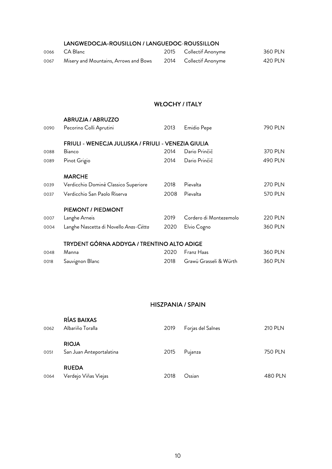#### LANGWEDOCJA-ROUSILLON / LANGUEDOC-ROUSSILLON

|      | 0066 CA Blanc                         | 2015 Collectif Anonyme | 360 PLN |
|------|---------------------------------------|------------------------|---------|
| 0067 | Misery and Mountains, Arrows and Bows | 2014 Collectif Anonyme | 420 PLN |

#### WŁOCHY / ITALY

|      | <b>ABRUZJA / ABRUZZO</b>                            |      |                        |                |
|------|-----------------------------------------------------|------|------------------------|----------------|
| 0090 | Pecorino Colli Aprutini                             | 2013 | Emidio Pepe            | 790 PLN        |
|      | FRIULI - WENECJA JULIJSKA / FRIULI - VENEZIA GIULIA |      |                        |                |
| 0088 | Bianco                                              | 2014 | Dario Prinčič          | 370 PLN        |
| 0089 | Pinot Grigio                                        | 2014 | Dario Prinčič          | 490 PLN        |
|      | <b>MARCHE</b>                                       |      |                        |                |
| 0039 | Verdicchio Dominè Classico Superiore                | 2018 | Pievalta               | <b>270 PLN</b> |
| 0037 | Verdicchio San Paolo Riserva                        | 2008 | Pievalta               | <b>570 PLN</b> |
|      | PIEMONT / PIEDMONT                                  |      |                        |                |
| 0007 | Langhe Arneis                                       | 2019 | Cordero di Montezemolo | <b>220 PLN</b> |
| 0004 | Langhe Nascetta di Novello Anas-Cëtta               | 2020 | Elvio Cogno            | 360 PLN        |
|      | TRYDENT GÓRNA ADDYGA / TRENTINO ALTO ADIGE          |      |                        |                |
| 0048 | Manna                                               | 2020 | Franz Haas             | 360 PLN        |

0018 Sauvignon Blanc 2018 Grawü Grasseli & Würth 360 PLN

## HISZPANIA / SPAIN

| 0062 | RÍAS BAIXAS<br>Albariño Toralla          | 2019 | Forjas del Salnes | <b>210 PLN</b> |
|------|------------------------------------------|------|-------------------|----------------|
| 0051 | <b>RIOJA</b><br>San Juan Anteportalatina | 2015 | Pujanza           | 750 PLN        |
| 0064 | <b>RUEDA</b><br>Verdejo Viñas Viejas     | 2018 | Ossian            | 480 PLN        |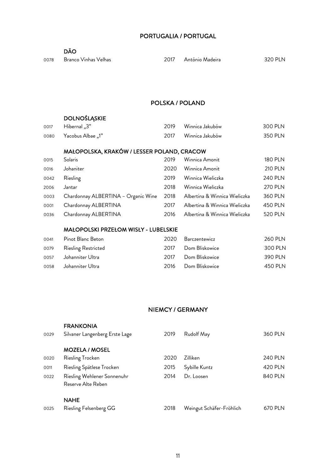#### PORTUGALIA / PORTUGAL

Branco Vinhas Velhas 2017 António Madeira 320 PLN

#### POLSKA / POLAND

#### DOLNOŚLĄSKIE

| 0017 | 3". Hibernal           |      | 2019 — Winnica Jakubów | 300 PLN |
|------|------------------------|------|------------------------|---------|
|      | 0080 Yacobus Albae "1" | 2017 | Winnica Jakubów        | 350 PLN |

#### MAŁOPOLSKA, KRAKÓW / LESSER POLAND, CRACOW

| 0015 | <b>Solaris</b>                      | 2019 | Winnica Amonit                | <b>180 PLN</b> |
|------|-------------------------------------|------|-------------------------------|----------------|
| 0016 | Johaniter                           | 2020 | Winnica Amonit                | <b>210 PLN</b> |
| 0042 | Riesling                            | 2019 | Winnica Wieliczka             | 240 PLN        |
| 2006 | Jantar                              | 2018 | Winnica Wieliczka             | <b>270 PLN</b> |
| 0003 | Chardonnay ALBERTINA - Organic Wine | 2018 | Albertina & Winnica Wieliczka | 360 PLN        |
| 0001 | Chardonnay ALBERTINA                | 2017 | Albertina & Winnica Wieliczka | 450 PLN        |
| 0036 | Chardonnay ALBERTINA                | 2016 | Albertina & Winnica Wieliczka | 520 PLN        |

#### MAŁOPOLSKI PRZEŁOM WISŁY - LUBELSKIE

| 0041 | Pinot Blanc Beton        | 2020 | Barczentewicz       | <b>260 PLN</b> |
|------|--------------------------|------|---------------------|----------------|
|      | 0079 Riesling Restricted |      | 2017 Dom Bliskowice | 300 PLN        |
|      | 0057 Johanniter Ultra    | 2017 | Dom Bliskowice      | 390 PLN        |
| 0058 | Johanniter Ultra         |      | 2016 Dom Bliskowice | 450 PLN        |

#### NIEMCY / GERMANY

| 0029 | <b>FRANKONIA</b><br>Silvaner Langenberg Erste Lage | 2019 | Rudolf May               | 360 PLN |
|------|----------------------------------------------------|------|--------------------------|---------|
|      | <b>MOZELA / MOSEL</b>                              |      |                          |         |
| 0020 | Riesling Trocken                                   | 2020 | <b>Zilliken</b>          | 240 PLN |
| 0011 | Riesling Spätlese Trocken                          | 2015 | Sybille Kuntz            | 420 PLN |
| 0022 | Riesling Wehlener Sonnenuhr<br>Reserve Alte Reben  | 2014 | Dr. Loosen               | 840 PLN |
|      | <b>NAHE</b>                                        |      |                          |         |
| 0025 | Riesling Felsenberg GG                             | 2018 | Weingut Schäfer-Fröhlich | 670 PLN |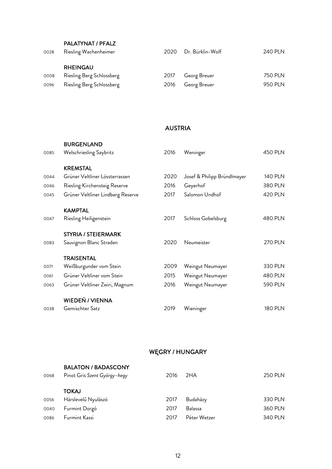#### PALATYNAT / PFALZ

| 0028 | Riesling Wachenheimer     |      | 2020 Dr. Bürklin-Wolf | 240 PLN |
|------|---------------------------|------|-----------------------|---------|
|      | <b>RHEINGAU</b>           |      |                       |         |
| 0008 | Riesling Berg Schlossberg | 2017 | Georg Breuer          | 750 PLN |
| 0096 | Riesling Berg Schlossberg | 2016 | Georg Breuer          | 950 PLN |

#### AUSTRIA

|      | <b>BURGENLAND</b>                 |      |                             |                |
|------|-----------------------------------|------|-----------------------------|----------------|
| 0085 | Welschriesling Saybritz           | 2016 | Weninger                    | <b>450 PLN</b> |
|      | <b>KREMSTAL</b>                   |      |                             |                |
| 0044 | Grüner Veltliner Lössterrassen    | 2020 | Josef & Philipp Bründlmayer | <b>140 PLN</b> |
| 0046 | Riesling Kirchensteig Reserve     | 2016 | Geyerhof                    | 380 PLN        |
| 0045 | Grüner Veltliner Lindberg Reserve | 2017 | Salomon Undhof              | <b>420 PLN</b> |
|      | <b>KAMPTAL</b>                    |      |                             |                |
| 0047 | Riesling Heiligenstein            | 2017 | Schloss Gobelsburg          | 480 PLN        |
|      | <b>STYRIA / STEIERMARK</b>        |      |                             |                |
| 0083 | Sauvignon Blanc Straden           | 2020 | Neumeister                  | <b>270 PLN</b> |
|      | <b>TRAISENTAL</b>                 |      |                             |                |
| 0071 | Weißburgunder vom Stein           | 2009 | Weingut Neumayer            | 330 PLN        |
| 0061 | Grüner Veltliner vom Stein        | 2015 | Weingut Neumayer            | 480 PLN        |
| 0063 | Grüner Veltliner Zwiri, Magnum    | 2016 | Weingut Neumayer            | <b>590 PLN</b> |
|      | <b>WIEDEŃ / VIENNA</b>            |      |                             |                |
| 0038 | Gemischter Satz                   | 2019 | Wieninger                   | <b>180 PLN</b> |

#### WĘGRY / HUNGARY

| 0068 | <b>BALATON / BADASCONY</b><br>Pinot Gris Szent György-hegy | 2016 | 2HA            | <b>250 PLN</b> |
|------|------------------------------------------------------------|------|----------------|----------------|
|      | <b>TOKAJ</b>                                               |      |                |                |
| 0056 | Hárslevelű Nyulászó                                        | 2017 | Budaházy       | 330 PLN        |
| 0040 | Furmint Dorgó                                              | 2017 | <b>Balassa</b> | 360 PLN        |
| 0086 | Furmint Kassi                                              | 2017 | Péter Wetzer   | 340 PLN        |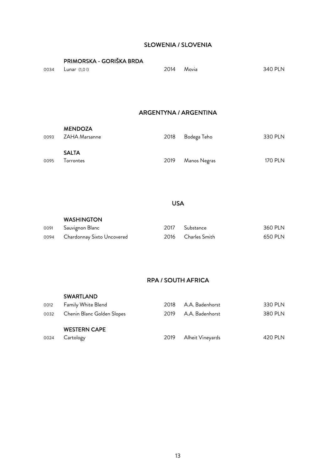#### SŁOWENIA / SLOVENIA

|      | PRIMORSKA - GORIŠKA BRDA |      |                       |                |
|------|--------------------------|------|-----------------------|----------------|
| 0034 | Lunar $(1,0)$            | 2014 | Movia                 | 340 PLN        |
|      |                          |      |                       |                |
|      |                          |      |                       |                |
|      |                          |      |                       |                |
|      |                          |      | ARGENTYNA / ARGENTINA |                |
|      | <b>MENDOZA</b>           |      |                       |                |
| 0093 | ZAHA Marsanne            | 2018 | Bodega Teho           | 330 PLN        |
|      | <b>SALTA</b>             |      |                       |                |
| 0095 | Torrontes                | 2019 | Manos Negras          | <b>170 PLN</b> |
|      |                          |      |                       |                |

USA

#### WASHINGTON

| 0091 Sauvignon Blanc            | 2017 Substance     | 360 PLN |
|---------------------------------|--------------------|---------|
| 0094 Chardonnay Sixto Uncovered | 2016 Charles Smith | 650 PLN |

### RPA / SOUTH AFRICA

|      | <b>SWARTLAND</b>           |      |                  |         |
|------|----------------------------|------|------------------|---------|
| 0012 | Family White Blend         | 2018 | A.A. Badenhorst  | 330 PLN |
| 0032 | Chenin Blanc Golden Slopes | 2019 | A.A. Badenhorst  | 380 PLN |
|      | <b>WESTERN CAPE</b>        |      |                  |         |
| 0024 | Cartology                  | 2019 | Alheit Vineyards | 420 PLN |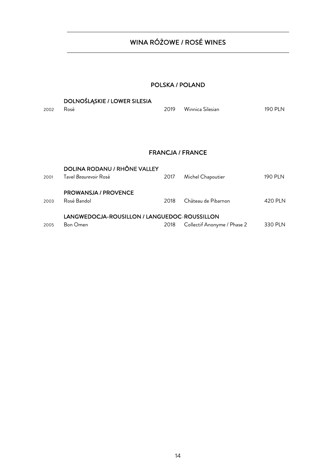## WINA RÓŻOWE / ROSÉ WINES

## POLSKA / POLAND

|           | <b>DOLNOŚLĄSKIE / LOWER SILESIA</b> |                         |         |
|-----------|-------------------------------------|-------------------------|---------|
| 2002 Rosé |                                     | 2019 - Winnica Silesian | 190 PLN |

#### FRANCJA / FRANCE

| 2005 | LANGWEDOCJA-ROUSILLON / LANGUEDOC-ROUSSILLON<br><b>Bon Omen</b> | 2018 | Collectif Anonyme / Phase 2 | 330 PLN        |
|------|-----------------------------------------------------------------|------|-----------------------------|----------------|
| 2003 | <b>PROWANSJA / PROVENCE</b><br>Rosé Bandol                      | 2018 | Château de Pibarnon         | 420 PLN        |
| 2001 | DOLINA RODANU / RHÔNE VALLEY<br>Tavel Begurevoir Rosé           | 2017 | Michel Chapoutier           | <b>190 PLN</b> |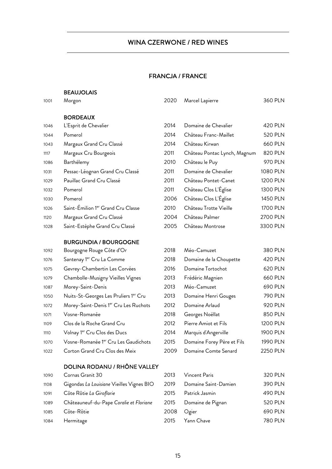## WINA CZERWONE / RED WINES

#### FRANCJA / FRANCE

#### BEAUJOLAIS

| 1001 | Morgon                                | 2020 | Marcel Lapierre              | 360 PLN        |
|------|---------------------------------------|------|------------------------------|----------------|
|      | <b>BORDEAUX</b>                       |      |                              |                |
| 1046 | L'Esprit de Chevalier                 | 2014 | Domaine de Chevalier         | 420 PLN        |
| 1044 | Pomerol                               | 2014 | Château Franc-Maillet        | <b>520 PLN</b> |
| 1043 | Margaux Grand Cru Classé              | 2014 | Château Kirwan               | 660 PLN        |
| 1117 | Margaux Cru Bourgeois                 | 2011 | Château Pontac Lynch, Magnum | 820 PLN        |
| 1086 | Barthélemy                            | 2010 | Château le Puy               | 970 PLN        |
| 1031 | Pessac-Léognan Grand Cru Classé       | 2011 | Domaine de Chevalier         | 1080 PLN       |
| 1029 | Pauillac Grand Cru Classé             | 2011 | Château Pontet-Canet         | 1200 PLN       |
| 1032 | Pomerol                               | 2011 | Château Clos L'Église        | 1300 PLN       |
| 1030 | Pomerol                               | 2006 | Château Clos L'Église        | 1450 PLN       |
| 1026 | Saint-Émilion 1er Grand Cru Classe    | 2010 | Château Trotte Vieille       | 1700 PLN       |
| 1120 | Margaux Grand Cru Classé              | 2004 | Château Palmer               | 2700 PLN       |
| 1028 | Saint-Estèphe Grand Cru Classé        | 2005 | Château Montrose             | 3300 PLN       |
|      | <b>BURGUNDIA / BOURGOGNE</b>          |      |                              |                |
| 1092 | Bourgogne Rouge Côte d'Or             | 2018 | Méo-Camuzet                  | 380 PLN        |
| 1076 | Santenay 1 <sup>er</sup> Cru La Comme | 2018 | Domaine de la Choupette      | 420 PLN        |

| 1076 | Santenay 1th Cru La Comme                |
|------|------------------------------------------|
| 1075 | Gevrey-Chambertin Les Corvées            |
| 1079 | Chambolle-Musigny Vieilles Vignes        |
| 1087 | Morey-Saint-Denis                        |
| 1050 | Nuits-St-Georges Les Pruliers 1er Cru    |
| 1072 | Morey-Saint-Denis 1er Cru Les Ruchots    |
| 1071 | Vosne-Romanée                            |
| 1109 | Clos de la Roche Grand Cru               |
| 1110 | Volnay 1 <sup>er</sup> Cru Clos des Ducs |
|      | $\sim$ 1 arcs 1<br><sub>n</sub>          |

#### 1022 Corton Grand Cru Clos des Meix 20

#### DOLINA RODANU / RHÔNE VALLEY

| 1090 | Cornas Granit 30                          |
|------|-------------------------------------------|
| 1108 | Gigondas La Louisiane Vieilles Vignes BIO |
| 1091 | Côte Rôtie La Giroflarie                  |
| 1089 | Châteauneuf-du-Pape Coralie et Floriane   |
| 1085 | Côte-Rôtie                                |
| 1084 | Hermitage                                 |

| 1079 | Chambolle-Musigny Vieilles Vignes        | 2013 | Frédéric Magnien           | 660 PLN  |
|------|------------------------------------------|------|----------------------------|----------|
| 1087 | Morey-Saint-Denis                        | 2013 | Méo-Camuzet                | 690 PLN  |
| 1050 | Nuits-St-Georges Les Pruliers 1er Cru    | 2013 | Domaine Henri Gouges       | 790 PLN  |
| 1072 | Morey-Saint-Denis 1er Cru Les Ruchots    | 2012 | Domaine Arlaud             | 920 PLN  |
| 1071 | Vosne-Romanée                            | 2018 | Georges Noëllat            | 850 PLN  |
| 1109 | Clos de la Roche Grand Cru               | 2012 | Pierre Amiot et Fils       | 1200 PLN |
| 1110 | Volnay 1 <sup>er</sup> Cru Clos des Ducs | 2014 | Marquis d'Angerville       | 1900 PLN |
| 1070 | Vosne-Romanée 1er Cru Les Gaudichots     | 2015 | Domaine Forey Père et Fils | 1990 PLN |
| 1022 | Corton Grand Cru Clos des Meix           | 2009 | Domaine Comte Senard       | 2250 PLN |

2016 Domaine Tortochot 620 PLN

| 1090 | Cornas Granit 30                          | 2013 | Vincent Paris        | 320 PLN |
|------|-------------------------------------------|------|----------------------|---------|
| 1108 | Gigondas La Louisiane Vieilles Vignes BIO | 2019 | Domaine Saint-Damien | 390 PLN |
| 1091 | Côte Rôtie La Giroflarie                  | 2015 | Patrick Jasmin       | 490 PLN |
| 1089 | Châteauneuf-du-Pape Coralie et Floriane   | 2015 | Domaine de Pignan    | 520 PLN |
| 1085 | Côte-Rôtie                                | 2008 | Ogier                | 690 PLN |
| 1084 | Hermitage                                 | 2015 | Yann Chave           | 780 PLN |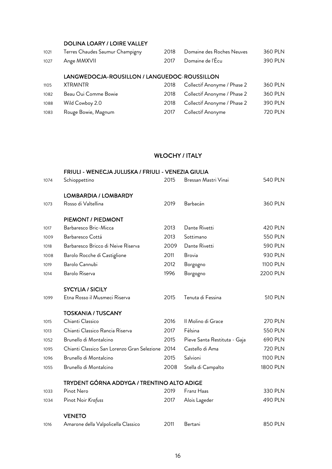#### DOLINA LOARY / LOIRE VALLEY

| 1021 | Terres Chaudes Saumur Champigny | 2018 Domaine des Roches Neuves | 360 PLN |
|------|---------------------------------|--------------------------------|---------|
|      | 1027 Ange MMXVII                | 2017 Domaine de l'Écu          | 390 PLN |

#### LANGWEDOCJA-ROUSILLON / LANGUEDOC-ROUSSILLON

| 1105 | <b>XTRMNTR</b>       | 2018 | Collectif Anonyme / Phase 2      | 360 PLN |
|------|----------------------|------|----------------------------------|---------|
| 1082 | Beau Oui Comme Bowie | 2018 | Collectif Anonyme / Phase 2      | 360 PLN |
| 1088 | Wild Cowboy 2.0      |      | 2018 Collectif Anonyme / Phase 2 | 390 PLN |
| 1083 | Rouge Bowie, Magnum  | 2017 | Collectif Anonyme                | 720 PLN |

#### WŁOCHY / ITALY

|      | FRIULI - WENECJA JULIJSKA / FRIULI - VENEZIA GIULIA |      |                              |                |
|------|-----------------------------------------------------|------|------------------------------|----------------|
| 1074 | Schioppettino                                       | 2015 | Bressan Mastri Vinai         | <b>540 PLN</b> |
|      | LOMBARDIA / LOMBARDY                                |      |                              |                |
|      |                                                     |      |                              | 360 PLN        |
| 1073 | Rosso di Valtellina                                 | 2019 | Barbacán                     |                |
|      | PIEMONT / PIEDMONT                                  |      |                              |                |
| 1017 | Barbaresco Bric-Micca                               | 2013 | Dante Rivetti                | <b>420 PLN</b> |
| 1009 | Barbaresco Cottá                                    | 2013 | Sottimano                    | <b>550 PLN</b> |
| 1018 | Barbaresco Bricco di Neive Riserva                  | 2009 | Dante Rivetti                | <b>590 PLN</b> |
| 1008 | Barolo Rocche di Castiglione                        | 2011 | Brovia                       | 930 PLN        |
| 1019 | Barolo Cannubi                                      | 2012 | Borgogno                     | 1100 PLN       |
| 1014 | Barolo Riserva                                      | 1996 | Borgogno                     | 2200 PLN       |
|      | <b>SYCYLIA / SICILY</b>                             |      |                              |                |
| 1099 | Etna Rosso il Musmeci Riserva                       | 2015 | Tenuta di Fessina            | <b>510 PLN</b> |
|      | <b>TOSKANIA / TUSCANY</b>                           |      |                              |                |
| 1015 | Chianti Classico                                    | 2016 | Il Molino di Grace           | <b>270 PLN</b> |
| 1013 | Chianti Classico Rancia Riserva                     | 2017 | Fèlsina                      | <b>550 PLN</b> |
| 1052 | Brunello di Montalcino                              | 2015 | Pieve Santa Restituta - Gaja | 690 PLN        |
| 1095 | Chianti Classico San Lorenzo Gran Selezione 2014    |      | Castello di Ama              | <b>720 PLN</b> |
| 1096 | Brunello di Montalcino                              | 2015 | Salvioni                     | 1100 PLN       |
| 1055 | Brunello di Montalcino                              | 2008 | Stella di Campalto           | 1800 PLN       |
|      | TRYDENT GÓRNA ADDYGA / TRENTINO ALTO ADIGE          |      |                              |                |
| 1033 | Pinot Nero                                          | 2019 | Franz Haas                   | 330 PLN        |
| 1034 | Pinot Noir Krafuss                                  | 2017 | Alois Lageder                | 490 PLN        |
|      | <b>VENETO</b>                                       |      |                              |                |
| 1016 | Amarone della Valpolicella Classico                 | 2011 | Bertani                      | 850 PLN        |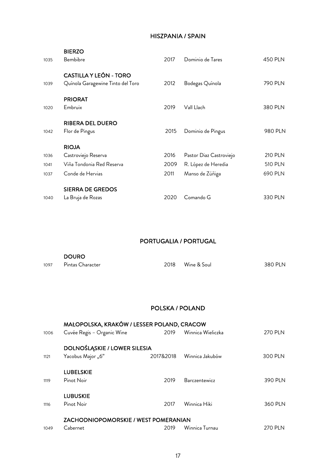#### HISZPANIA / SPAIN

| 1035 | <b>BIERZO</b><br>Bembibre                                          | 2017 | Dominio de Tares        | 450 PLN        |
|------|--------------------------------------------------------------------|------|-------------------------|----------------|
| 1039 | <b>CASTILLA Y LEÓN - TORO</b><br>Quínola Garagewine Tinto del Toro | 2012 | Bodegas Quínola         | 790 PLN        |
| 1020 | <b>PRIORAT</b><br>Embruix                                          | 2019 | Vall Llach              | 380 PLN        |
| 1042 | <b>RIBERA DEL DUERO</b><br>Flor de Pingus                          | 2015 | Dominio de Pingus       | 980 PLN        |
|      | <b>RIOJA</b>                                                       |      |                         |                |
| 1036 | Castroviejo Reserva                                                | 2016 | Pastor Diaz Castroviejo | <b>210 PLN</b> |
| 1041 | Viña Tondonia Red Reserva                                          | 2009 | R. López de Heredia     | <b>510 PLN</b> |
| 1037 | Conde de Hervias                                                   | 2011 | Manso de Zúñiga         | 690 PLN        |
|      | <b>SIERRA DE GREDOS</b>                                            |      |                         |                |
| 1040 | La Bruja de Rozas                                                  | 2020 | Comando G               | 330 PLN        |

### PORTUGALIA / PORTUGAL

|      | <b>DOURO</b>     |      |             |         |  |  |
|------|------------------|------|-------------|---------|--|--|
| 1097 | Pintas Character | 2018 | Wine & Soul | 380 PLN |  |  |

#### POLSKA / POLAND

|      | MAŁOPOLSKA, KRAKÓW / LESSER POLAND, CRACOW  |           |                   |                |
|------|---------------------------------------------|-----------|-------------------|----------------|
| 1006 | Cuvée Regis - Organic Wine                  | 2019      | Winnica Wieliczka | <b>270 PLN</b> |
|      | DOLNOŚLĄSKIE / LOWER SILESIA                |           |                   |                |
| 1121 | Yacobus Major "6"                           | 2017&2018 | Winnica Jakubów   | 300 PLN        |
|      | <b>LUBELSKIE</b>                            |           |                   |                |
| 1119 | Pinot Noir                                  | 2019      | Barczentewicz     | 390 PLN        |
|      | <b>LUBUSKIE</b>                             |           |                   |                |
| 1116 | Pinot Noir                                  | 2017      | Winnica Hiki      | 360 PLN        |
|      | <b>ZACHODNIOPOMORSKIE / WEST POMERANIAN</b> |           |                   |                |
| 1049 | Cabernet                                    | 2019      | Winnica Turnau    | 270 PI N       |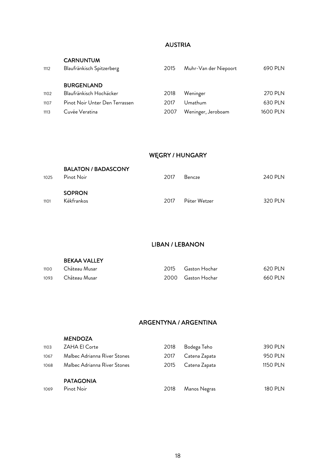### AUSTRIA

| 1112 | <b>CARNUNTUM</b><br>Blaufränkisch Spitzerberg | 2015 | Muhr-Van der Niepoort | 690 PLN        |
|------|-----------------------------------------------|------|-----------------------|----------------|
| 1102 | <b>BURGENLAND</b><br>Blaufränkisch Hochäcker  | 2018 | Weninger              | <b>270 PLN</b> |
| 1107 | Pinot Noir Unter Den Terrassen                | 2017 | Umathum               | 630 PLN        |
| 1113 | Cuvée Veratina                                | 2007 | Weninger, Jeroboam    | 1600 PLN       |
|      |                                               |      |                       |                |

## WĘGRY / HUNGARY

| 1025 | <b>BALATON / BADASCONY</b><br>Pinot Noir | 2017 | Bencze       | 240 PLN |
|------|------------------------------------------|------|--------------|---------|
| 1101 | <b>SOPRON</b><br>Kékfrankos              | 2017 | Péter Wetzer | 320 PLN |

#### LIBAN / LEBANON

|      | <b>BEKAA VALLEY</b> |                    |         |
|------|---------------------|--------------------|---------|
| 1100 | - Château Musar     | 2015 Gaston Hochar | 620 PLN |
| 1093 | Château Musar       | 2000 Gaston Hochar | 660 PLN |

## ARGENTYNA / ARGENTINA

| <b>MENDOZA</b> |  |
|----------------|--|
|                |  |

| 1103 | ZAHA El Corte                | 2018 | Bodega Teho   | 390 PLN  |
|------|------------------------------|------|---------------|----------|
| 1067 | Malbec Adrianna River Stones | 2017 | Catena Zapata | 950 PLN  |
| 1068 | Malbec Adrianna River Stones | 2015 | Catena Zapata | 1150 PLN |
|      |                              |      |               |          |
|      | <b>PATAGONIA</b>             |      |               |          |
| 1069 | Pinot Noir                   | 2018 | Manos Negras  | 180 PLN  |
|      |                              |      |               |          |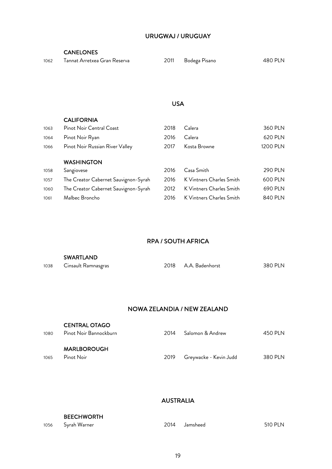### URUGWAJ / URUGUAY

#### CANELONES

| 1062 | Tannat Arretxea Gran Reserva | 2011 | Bodega Pisano | 480 PLN |
|------|------------------------------|------|---------------|---------|
|------|------------------------------|------|---------------|---------|

#### USA

#### CALIFORNIA

| 1063 | Pinot Noir Central Coast             | 2018 | Calera                   | 360 PLN        |
|------|--------------------------------------|------|--------------------------|----------------|
| 1064 | Pinot Noir Ryan                      | 2016 | Calera                   | 620 PLN        |
| 1066 | Pinot Noir Russian River Valley      | 2017 | Kosta Browne             | 1200 PLN       |
|      |                                      |      |                          |                |
|      | <b>WASHINGTON</b>                    |      |                          |                |
| 1058 | Sangiovese                           | 2016 | Casa Smith               | <b>290 PLN</b> |
| 1057 | The Creator Cabernet Sauvignon-Syrah | 2016 | K Vintners Charles Smith | 600 PLN        |
| 1060 | The Creator Cabernet Sauvignon-Syrah | 2012 | K Vintners Charles Smith | 690 PLN        |
| 1061 | Malbec Broncho                       | 2016 | K Vintners Charles Smith | 840 PLN        |
|      |                                      |      |                          |                |

#### RPA / SOUTH AFRICA

|      | <b>SWARTLAND</b>    |  |                      |         |  |  |
|------|---------------------|--|----------------------|---------|--|--|
| 1038 | Cinsault Ramnasgras |  | 2018 A.A. Badenhorst | 380 PLN |  |  |

#### NOWA ZELANDIA / NEW ZEALAND

| 1080 | <b>CENTRAL OTAGO</b><br>Pinot Noir Bannockburn | 2014 | Salomon & Andrew       | 450 PLN |
|------|------------------------------------------------|------|------------------------|---------|
| 1065 | <b>MARLBOROUGH</b><br>Pinot Noir               | 2019 | Greywacke - Kevin Judd | 380 PLN |

## AUSTRALIA

#### BEECHWORTH

| 1056 | , Syrah Warner | 2014 Jamsheed | <b>510 PLN</b> |
|------|----------------|---------------|----------------|
|      |                |               |                |